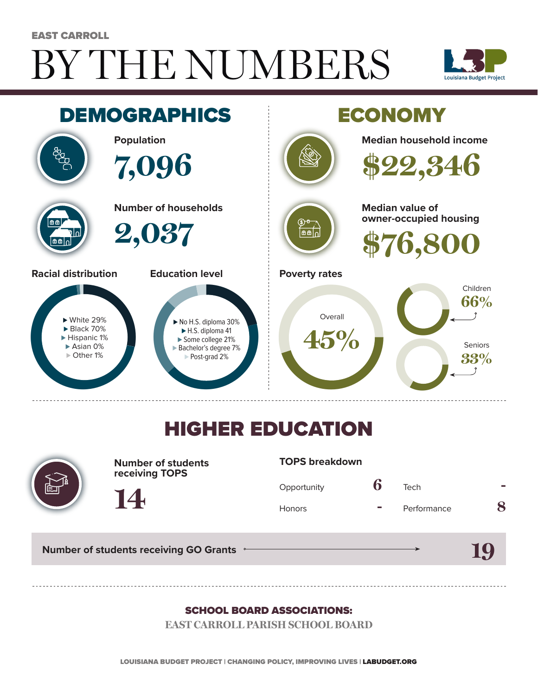# BY THE NUMBERS EAST CARROLL





## HIGHER EDUCATION



**Number of students receiving TOPS**

#### **TOPS breakdown**

| Opportunity   | Tech        |  |
|---------------|-------------|--|
| <b>Honors</b> | Performance |  |

**19**

**Number of students receiving GO Grants**

**14**

#### SCHOOL BOARD ASSOCIATIONS:

**EAST CARROLL PARISH SCHOOL BOARD**